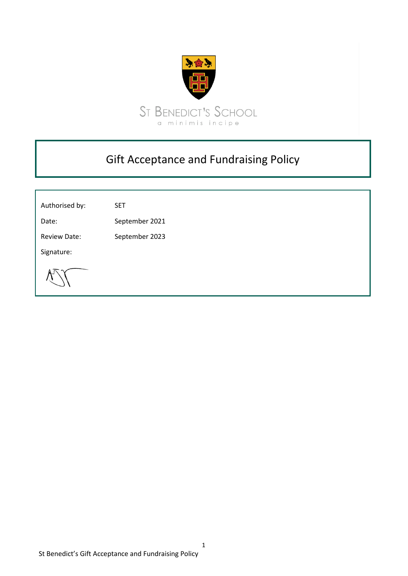

## Gift Acceptance and Fundraising Policy

Authorised by: SET

Date: September 2021

Review Date: September 2023

Signature: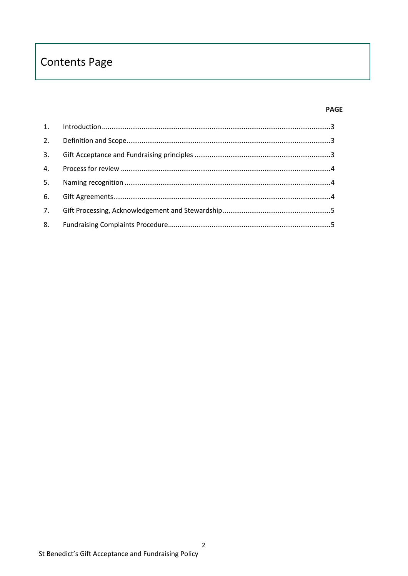# **Contents Page**

#### **PAGE**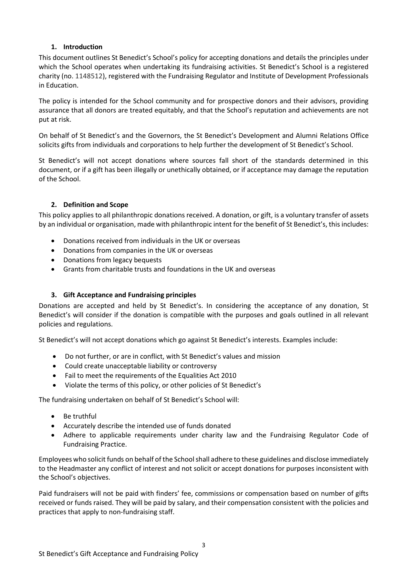## **1. Introduction**

<span id="page-2-0"></span>This document outlines St Benedict's School's policy for accepting donations and details the principles under which the School operates when undertaking its fundraising activities. St Benedict's School is a registered charity (no. 1148512), registered with the Fundraising Regulator and Institute of Development Professionals in Education.

The policy is intended for the School community and for prospective donors and their advisors, providing assurance that all donors are treated equitably, and that the School's reputation and achievements are not put at risk.

On behalf of St Benedict's and the Governors, the St Benedict's Development and Alumni Relations Office solicits gifts from individuals and corporations to help further the development of St Benedict's School.

St Benedict's will not accept donations where sources fall short of the standards determined in this document, or if a gift has been illegally or unethically obtained, or if acceptance may damage the reputation of the School.

## <span id="page-2-1"></span>**2. Definition and Scope**

This policy applies to all philanthropic donations received. A donation, or gift, is a voluntary transfer of assets by an individual or organisation, made with philanthropic intent for the benefit of St Benedict's, this includes:

- Donations received from individuals in the UK or overseas
- Donations from companies in the UK or overseas
- Donations from legacy bequests
- Grants from charitable trusts and foundations in the UK and overseas

## <span id="page-2-2"></span>**3. Gift Acceptance and Fundraising principles**

Donations are accepted and held by St Benedict's. In considering the acceptance of any donation, St Benedict's will consider if the donation is compatible with the purposes and goals outlined in all relevant policies and regulations.

St Benedict's will not accept donations which go against St Benedict's interests. Examples include:

- Do not further, or are in conflict, with St Benedict's values and mission
- Could create unacceptable liability or controversy
- Fail to meet the requirements of the Equalities Act 2010
- Violate the terms of this policy, or other policies of St Benedict's

The fundraising undertaken on behalf of St Benedict's School will:

- Be truthful
- Accurately describe the intended use of funds donated
- Adhere to applicable requirements under charity law and the Fundraising Regulator Code of Fundraising Practice.

Employees who solicit funds on behalf of the School shall adhere to these guidelines and disclose immediately to the Headmaster any conflict of interest and not solicit or accept donations for purposes inconsistent with the School's objectives.

Paid fundraisers will not be paid with finders' fee, commissions or compensation based on number of gifts received or funds raised. They will be paid by salary, and their compensation consistent with the policies and practices that apply to non-fundraising staff.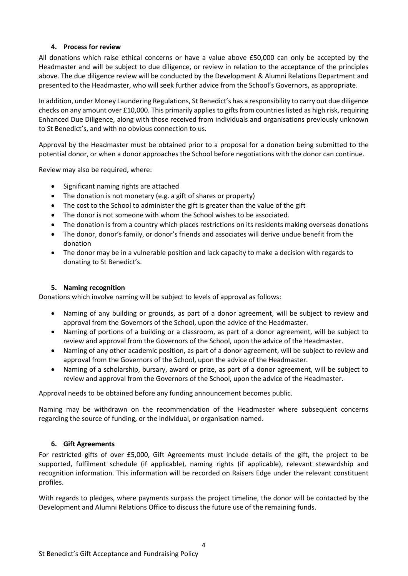## **4. Process for review**

<span id="page-3-0"></span>All donations which raise ethical concerns or have a value above £50,000 can only be accepted by the Headmaster and will be subject to due diligence, or review in relation to the acceptance of the principles above. The due diligence review will be conducted by the Development & Alumni Relations Department and presented to the Headmaster, who will seek further advice from the School's Governors, as appropriate.

In addition, under Money Laundering Regulations, St Benedict's has a responsibility to carry out due diligence checks on any amount over £10,000. This primarily applies to gifts from countries listed as high risk, requiring Enhanced Due Diligence, along with those received from individuals and organisations previously unknown to St Benedict's, and with no obvious connection to us.

Approval by the Headmaster must be obtained prior to a proposal for a donation being submitted to the potential donor, or when a donor approaches the School before negotiations with the donor can continue.

Review may also be required, where:

- Significant naming rights are attached
- The donation is not monetary (e.g. a gift of shares or property)
- The cost to the School to administer the gift is greater than the value of the gift
- The donor is not someone with whom the School wishes to be associated.
- The donation is from a country which places restrictions on its residents making overseas donations
- The donor, donor's family, or donor's friends and associates will derive undue benefit from the donation
- The donor may be in a vulnerable position and lack capacity to make a decision with regards to donating to St Benedict's.

#### <span id="page-3-1"></span>**5. Naming recognition**

Donations which involve naming will be subject to levels of approval as follows:

- Naming of any building or grounds, as part of a donor agreement, will be subject to review and approval from the Governors of the School, upon the advice of the Headmaster.
- Naming of portions of a building or a classroom, as part of a donor agreement, will be subject to review and approval from the Governors of the School, upon the advice of the Headmaster.
- Naming of any other academic position, as part of a donor agreement, will be subject to review and approval from the Governors of the School, upon the advice of the Headmaster.
- Naming of a scholarship, bursary, award or prize, as part of a donor agreement, will be subject to review and approval from the Governors of the School, upon the advice of the Headmaster.

Approval needs to be obtained before any funding announcement becomes public.

Naming may be withdrawn on the recommendation of the Headmaster where subsequent concerns regarding the source of funding, or the individual, or organisation named.

#### <span id="page-3-2"></span>**6. Gift Agreements**

For restricted gifts of over £5,000, Gift Agreements must include details of the gift, the project to be supported, fulfilment schedule (if applicable), naming rights (if applicable), relevant stewardship and recognition information. This information will be recorded on Raisers Edge under the relevant constituent profiles.

With regards to pledges, where payments surpass the project timeline, the donor will be contacted by the Development and Alumni Relations Office to discuss the future use of the remaining funds.